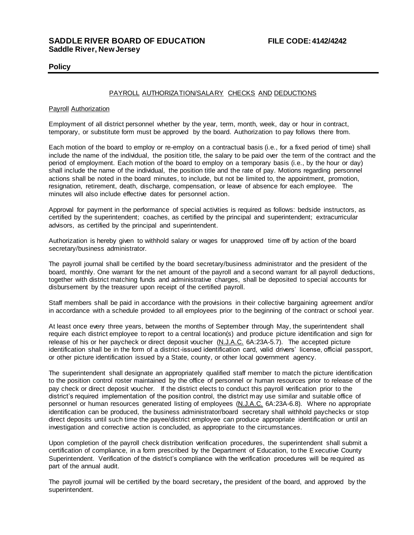# **Policy**

# PAYROLL AUTHORIZATION/SALARY CHECKS AND DEDUCTIONS

## Payroll Authorization

Employment of all district personnel whether by the year, term, month, week, day or hour in contract, temporary, or substitute form must be approved by the board. Authorization to pay follows there from.

Each motion of the board to employ or re-employ on a contractual basis (i.e., for a fixed period of time) shall include the name of the individual, the position title, the salary to be paid over the term of the contract and the period of employment. Each motion of the board to employ on a temporary basis (i.e., by the hour or day) shall include the name of the individual, the position title and the rate of pay. Motions regarding personnel actions shall be noted in the board minutes, to include, but not be limited to, the appointment, promotion, resignation, retirement, death, discharge, compensation, or leave of absence for each employee. The minutes will also include effective dates for personnel action.

Approval for payment in the performance of special activities is required as follows: bedside instructors, as certified by the superintendent; coaches, as certified by the principal and superintendent; extracurricular advisors, as certified by the principal and superintendent.

Authorization is hereby given to withhold salary or wages for unapproved time off by action of the board secretary/business administrator.

The payroll journal shall be certified by the board secretary/business administrator and the president of the board, monthly. One warrant for the net amount of the payroll and a second warrant for all payroll deductions, together with district matching funds and administrative charges, shall be deposited to special accounts for disbursement by the treasurer upon receipt of the certified payroll.

Staff members shall be paid in accordance with the provisions in their collective bargaining agreement and/or in accordance with a schedule provided to all employees prior to the beginning of the contract or school year.

At least once every three years, between the months of Septembe**r** through May, the superintendent shall require each district employee to report to a central location(s) and produce picture identification and sign for release of his or her paycheck or direct deposit voucher (N.J.A.C. 6A:23A-5.7). The accepted picture identification shall be in the form of a district-issued identification card, valid drivers' license, official passport, or other picture identification issued by a State, county, or other local government agency.

The superintendent shall designate an appropriately qualified staff member to match the picture identification to the position control roster maintained by the office of personnel or human resources prior to release of the pay check or direct deposit voucher. If the district elects to conduct this payroll verification prior to the district's required implementation of the position control, the district may use similar and suitable office of personnel or human resources generated listing of employees (N.J.A.C. 6A:23A-6.8). Where no appropriate identification can be produced, the business administrator/board secretary shall withhold paychecks or stop direct deposits until such time the payee/district employee can produce appropriate identification or until an investigation and corrective action is concluded, as appropriate to the circumstances.

Upon completion of the payroll check distribution verification procedures, the superintendent shall submit a certification of compliance, in a form prescribed by the Department of Education, to the Executive County Superintendent. Verification of the district's compliance with the verification procedures will be required as part of the annual audit.

The payroll journal will be certified by the board secretary**,** the president of the board, and approved by the superintendent.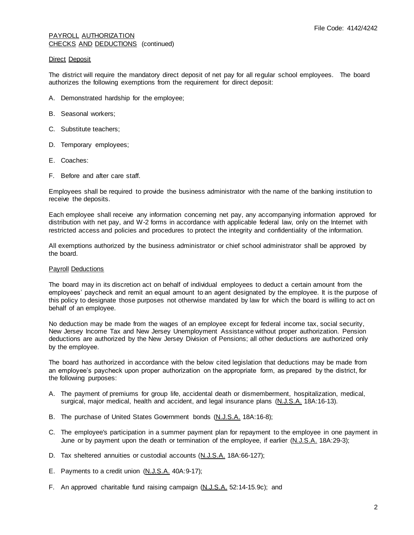## PAYROLL AUTHORIZATION CHECKS AND DEDUCTIONS (continued)

## Direct Deposit

The district will require the mandatory direct deposit of net pay for all regular school employees. The board authorizes the following exemptions from the requirement for direct deposit:

- A. Demonstrated hardship for the employee;
- B. Seasonal workers;
- C. Substitute teachers;
- D. Temporary employees;
- E. Coaches:
- F. Before and after care staff.

Employees shall be required to provide the business administrator with the name of the banking institution to receive the deposits.

Each employee shall receive any information concerning net pay, any accompanying information approved for distribution with net pay, and W-2 forms in accordance with applicable federal law, only on the Internet with restricted access and policies and procedures to protect the integrity and confidentiality of the information.

All exemptions authorized by the business administrator or chief school administrator shall be approved by the board.

## Payroll Deductions

The board may in its discretion act on behalf of individual employees to deduct a certain amount from the employees' paycheck and remit an equal amount to an agent designated by the employee. It is the purpose of this policy to designate those purposes not otherwise mandated by law for which the board is willing to act on behalf of an employee.

No deduction may be made from the wages of an employee except for federal income tax, social security, New Jersey Income Tax and New Jersey Unemployment Assistance without proper authorization. Pension deductions are authorized by the New Jersey Division of Pensions; all other deductions are authorized only by the employee.

The board has authorized in accordance with the below cited legislation that deductions may be made from an employee's paycheck upon proper authorization on the appropriate form, as prepared by the district, for the following purposes:

- A. The payment of premiums for group life, accidental death or dismemberment, hospitalization, medical, surgical, major medical, health and accident, and legal insurance plans (N.J.S.A. 18A:16-13).
- B. The purchase of United States Government bonds (N.J.S.A. 18A:16-8);
- C. The employee's participation in a summer payment plan for repayment to the employee in one payment in June or by payment upon the death or termination of the employee, if earlier (N.J.S.A. 18A:29-3);
- D. Tax sheltered annuities or custodial accounts (N.J.S.A. 18A:66-127);
- E. Payments to a credit union (N.J.S.A. 40A:9-17);
- F. An approved charitable fund raising campaign (N.J.S.A. 52:14-15.9c); and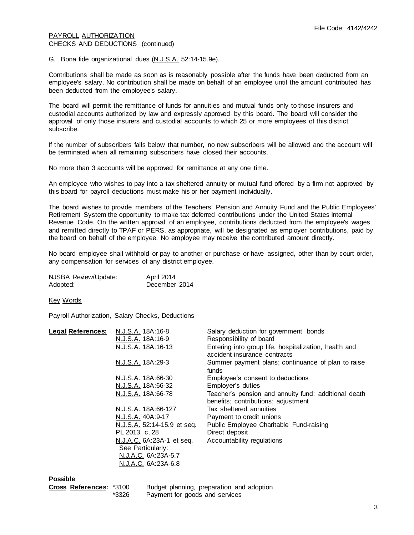## PAYROLL AUTHORIZATION CHECKS AND DEDUCTIONS (continued)

G. Bona fide organizational dues (N.J.S.A. 52:14-15.9e).

Contributions shall be made as soon as is reasonably possible after the funds have been deducted from an employee's salary. No contribution shall be made on behalf of an employee until the amount contributed has been deducted from the employee's salary.

The board will permit the remittance of funds for annuities and mutual funds only to those insurers and custodial accounts authorized by law and expressly approved by this board. The board will consider the approval of only those insurers and custodial accounts to which 25 or more employees of this district subscribe.

If the number of subscribers falls below that number, no new subscribers will be allowed and the account will be terminated when all remaining subscribers have closed their accounts.

No more than 3 accounts will be approved for remittance at any one time.

An employee who wishes to pay into a tax sheltered annuity or mutual fund offered by a firm not approved by this board for payroll deductions must make his or her payment individually.

The board wishes to provide members of the Teachers' Pension and Annuity Fund and the Public Employees' Retirement System the opportunity to make tax deferred contributions under the United States Internal Revenue Code. On the written approval of an employee, contributions deducted from the employee's wages and remitted directly to TPAF or PERS, as appropriate, will be designated as employer contributions, paid by the board on behalf of the employee. No employee may receive the contributed amount directly.

No board employee shall withhold or pay to another or purchase or have assigned, other than by court order, any compensation for services of any district employee.

| NJSBA Review/Update: | April 2014    |
|----------------------|---------------|
| Adopted:             | December 2014 |

Key Words

Payroll Authorization, Salary Checks, Deductions

| <b>Legal References:</b> | N.J.S.A. 18A:16-8           | Salary deduction for government bonds                       |
|--------------------------|-----------------------------|-------------------------------------------------------------|
|                          | N.J.S.A. 18A:16-9           | Responsibility of board                                     |
|                          | N.J.S.A. 18A:16-13          | Entering into group life, hospitalization, health and       |
|                          |                             | accident insurance contracts                                |
|                          | N.J.S.A. 18A:29-3           | Summer payment plans; continuance of plan to raise<br>funds |
|                          | N.J.S.A. 18A:66-30          | Employee's consent to deductions                            |
|                          | N.J.S.A. 18A:66-32          | Employer's duties                                           |
|                          | N.J.S.A. 18A:66-78          | Teacher's pension and annuity fund: additional death        |
|                          |                             | benefits; contributions; adjustment                         |
|                          | N.J.S.A. 18A:66-127         | Tax sheltered annuities                                     |
|                          | N.J.S.A. 40A:9-17           | Payment to credit unions                                    |
|                          | N.J.S.A. 52:14-15.9 et seq. | Public Employee Charitable Fund-raising                     |
|                          | PL 2013, c, 28              | Direct deposit                                              |
|                          | N.J.A.C. 6A:23A-1 et seq.   | Accountability regulations                                  |
|                          | See Particularly:           |                                                             |
|                          | N.J.A.C. 6A:23A-5.7         |                                                             |
|                          | N.J.A.C. 6A:23A-6.8         |                                                             |
|                          |                             |                                                             |

#### **Possible**

| r <b>oss References:</b> *3100 |     |
|--------------------------------|-----|
|                                | $*$ |

**Cross References:** \*3100 Budget planning, preparation and adoption \*3326 Payment for goods and services